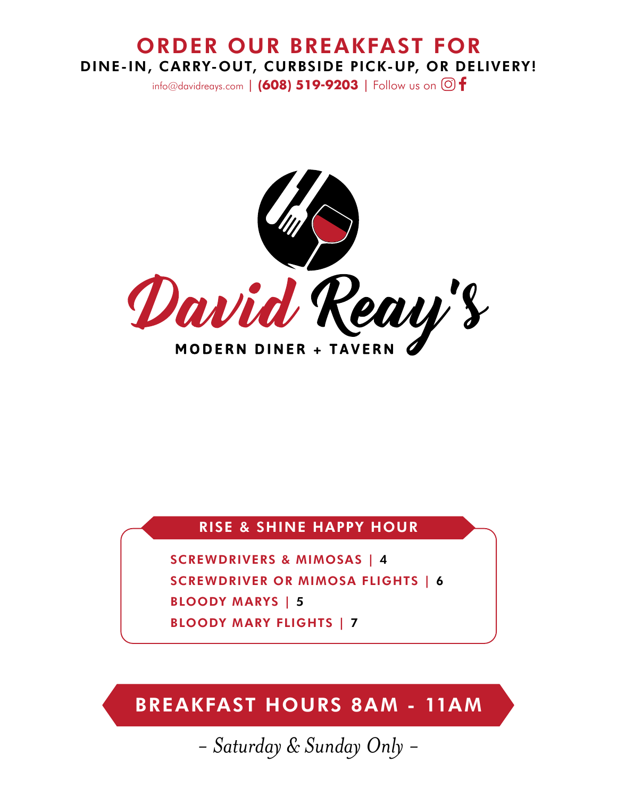# ORDER OUR BREAKFAST FOR DINE-IN, CARRY-OUT, CURBSIDE PICK-UP, OR DELIVERY!

info@davidreays.com | **(608) 519-9203** | Follow us on .



# RISE & SHINE HAPPY HOUR

SCREWDRIVERS & MIMOSAS | 4 SCREWDRIVER OR MIMOSA FLIGHTS | 6 BLOODY MARYS | 5 BLOODY MARY FLIGHTS | 7

BREAKFAST HOURS 8AM - 11AM

*- Saturday & Sunday Only -*